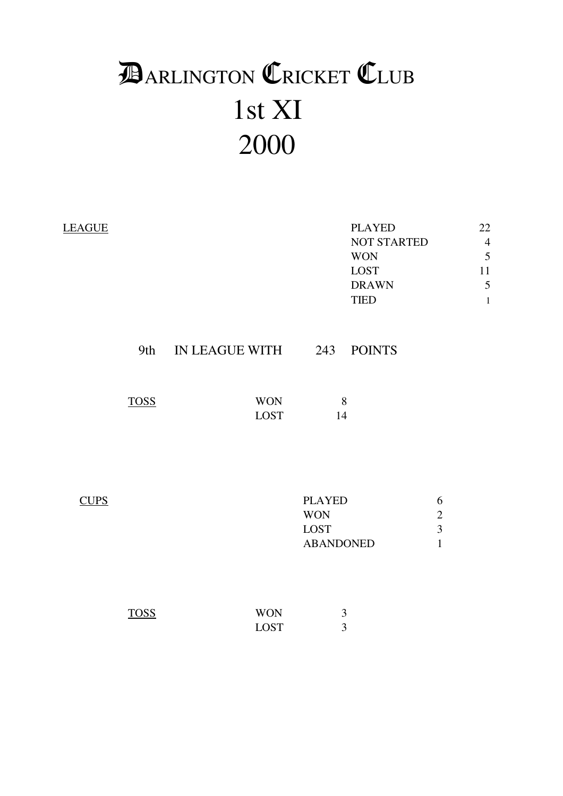# 1st XI 2000 **DARLINGTON CRICKET CLUB**

| <b>LEAGUE</b> |             |                           | <b>PLAYED</b><br><b>NOT STARTED</b><br><b>WON</b><br>LOST<br><b>DRAWN</b><br><b>TIED</b> |                                                   | 22<br>$\overline{4}$<br>5<br>11<br>5<br>$\mathbf{1}$ |
|---------------|-------------|---------------------------|------------------------------------------------------------------------------------------|---------------------------------------------------|------------------------------------------------------|
|               | 9th         | IN LEAGUE WITH 243        | <b>POINTS</b>                                                                            |                                                   |                                                      |
|               | <b>TOSS</b> | <b>WON</b><br>LOST        | 8<br>14                                                                                  |                                                   |                                                      |
| <b>CUPS</b>   |             |                           | <b>PLAYED</b><br><b>WON</b><br><b>LOST</b><br><b>ABANDONED</b>                           | 6<br>$\sqrt{2}$<br>$\overline{3}$<br>$\mathbf{1}$ |                                                      |
|               | <b>TOSS</b> | <b>WON</b><br><b>LOST</b> | 3<br>3                                                                                   |                                                   |                                                      |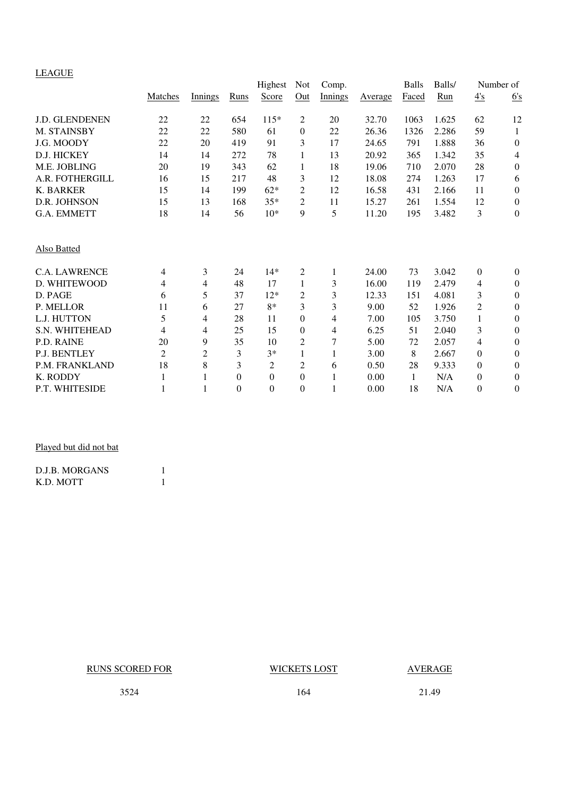# LEAGUE

|                       |                |                |          | Highest          | <b>Not</b>     | Comp.        |         | <b>Balls</b> | Balls/ |                  | Number of        |
|-----------------------|----------------|----------------|----------|------------------|----------------|--------------|---------|--------------|--------|------------------|------------------|
|                       | Matches        | Innings        | Runs     | Score            | Out            | Innings      | Average | Faced        | Run    | $\frac{4}{s}$    | 6's              |
| J.D. GLENDENEN        | 22             | 22             | 654      | $115*$           | 2              | 20           | 32.70   | 1063         | 1.625  | 62               | 12               |
| M. STAINSBY           | 22             | $22\,$         | 580      | 61               | $\theta$       | 22           | 26.36   | 1326         | 2.286  | 59               | 1                |
| J.G. MOODY            | 22             | 20             | 419      | 91               | 3              | 17           | 24.65   | 791          | 1.888  | 36               | $\boldsymbol{0}$ |
| D.J. HICKEY           | 14             | 14             | 272      | 78               | 1              | 13           | 20.92   | 365          | 1.342  | 35               | $\overline{4}$   |
| M.E. JOBLING          | 20             | 19             | 343      | 62               | 1              | 18           | 19.06   | 710          | 2.070  | 28               | $\boldsymbol{0}$ |
| A.R. FOTHERGILL       | 16             | 15             | 217      | 48               | 3              | 12           | 18.08   | 274          | 1.263  | 17               | 6                |
| <b>K. BARKER</b>      | 15             | 14             | 199      | $62*$            | $\overline{2}$ | 12           | 16.58   | 431          | 2.166  | 11               | $\boldsymbol{0}$ |
| D.R. JOHNSON          | 15             | 13             | 168      | $35*$            | 2              | 11           | 15.27   | 261          | 1.554  | 12               | $\boldsymbol{0}$ |
| G.A. EMMETT           | 18             | 14             | 56       | $10*$            | 9              | 5            | 11.20   | 195          | 3.482  | 3                | $\mathbf{0}$     |
| Also Batted           |                |                |          |                  |                |              |         |              |        |                  |                  |
| <b>C.A. LAWRENCE</b>  | $\overline{4}$ | 3              | 24       | $14*$            | 2              | 1            | 24.00   | 73           | 3.042  | $\boldsymbol{0}$ | $\overline{0}$   |
| D. WHITEWOOD          | $\overline{4}$ | 4              | 48       | 17               | 1              | 3            | 16.00   | 119          | 2.479  | 4                | $\boldsymbol{0}$ |
| D. PAGE               | 6              | 5              | 37       | $12*$            | 2              | 3            | 12.33   | 151          | 4.081  | 3                | $\boldsymbol{0}$ |
| P. MELLOR             | 11             | 6              | 27       | $8*$             | 3              | 3            | 9.00    | 52           | 1.926  | $\overline{c}$   | $\theta$         |
| L.J. HUTTON           | 5              | $\overline{4}$ | 28       | 11               | $\Omega$       | 4            | 7.00    | 105          | 3.750  | $\mathbf{1}$     | $\boldsymbol{0}$ |
| <b>S.N. WHITEHEAD</b> | $\overline{4}$ | 4              | 25       | 15               | $\overline{0}$ | 4            | 6.25    | 51           | 2.040  | 3                | $\boldsymbol{0}$ |
| P.D. RAINE            | 20             | 9              | 35       | 10               | $\overline{2}$ | 7            | 5.00    | 72           | 2.057  | 4                | $\boldsymbol{0}$ |
| <b>P.J. BENTLEY</b>   | 2              | $\overline{2}$ | 3        | $3*$             |                | $\mathbf{1}$ | 3.00    | 8            | 2.667  | 0                | $\boldsymbol{0}$ |
| P.M. FRANKLAND        | 18             | 8              | 3        | $\overline{c}$   | $\overline{2}$ | 6            | 0.50    | 28           | 9.333  | $\overline{0}$   | $\theta$         |
| K. RODDY              | $\mathbf{1}$   | 1              | $\theta$ | $\theta$         | $\overline{0}$ | 1            | 0.00    | 1            | N/A    | $\boldsymbol{0}$ | $\theta$         |
| P.T. WHITESIDE        | 1              | 1              | $\theta$ | $\boldsymbol{0}$ | $\theta$       |              | 0.00    | 18           | N/A    | $\overline{0}$   | $\theta$         |

# Played but did not bat

| D.J.B. MORGANS |  |
|----------------|--|
| K.D. MOTT      |  |

RUNS SCORED FOR WICKETS LOST AVERAGE

3524 164 21.49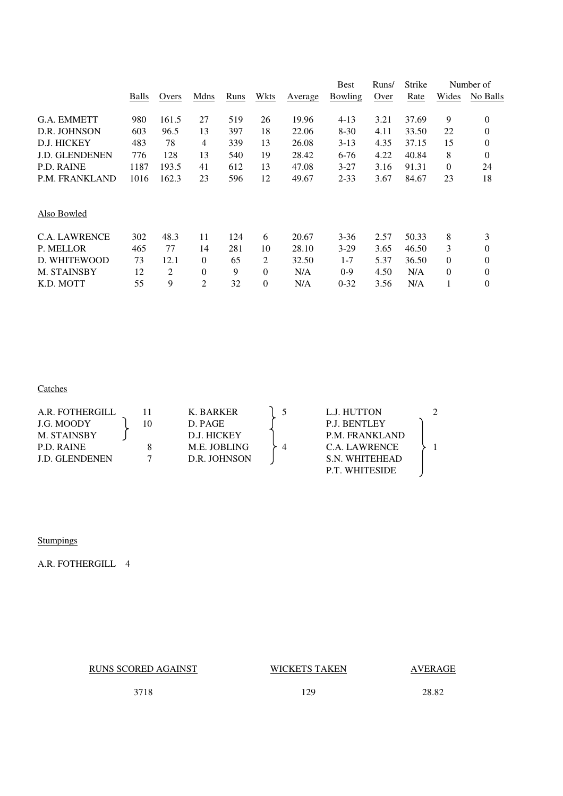|                       |       |       |          |      |          |         | <b>Best</b> | Runs/ | Strike |              | Number of      |
|-----------------------|-------|-------|----------|------|----------|---------|-------------|-------|--------|--------------|----------------|
|                       | Balls | Overs | Mdns     | Runs | Wkts     | Average | Bowling     | Over  | Rate   | Wides        | No Balls       |
| G.A. EMMETT           | 980   | 161.5 | 27       | 519  | 26       | 19.96   | $4 - 13$    | 3.21  | 37.69  | 9            | 0              |
|                       |       |       |          |      |          |         |             |       |        |              |                |
| D.R. JOHNSON          | 603   | 96.5  | 13       | 397  | 18       | 22.06   | $8-30$      | 4.11  | 33.50  | 22           | $\theta$       |
| D.J. HICKEY           | 483   | 78    | 4        | 339  | 13       | 26.08   | $3-13$      | 4.35  | 37.15  | 15           | $\overline{0}$ |
| <b>J.D. GLENDENEN</b> | 776   | 128   | 13       | 540  | 19       | 28.42   | 6-76        | 4.22  | 40.84  | 8            | $\theta$       |
| P.D. RAINE            | 1187  | 193.5 | 41       | 612  | 13       | 47.08   | $3 - 27$    | 3.16  | 91.31  | $\theta$     | 24             |
| P.M. FRANKLAND        | 1016  | 162.3 | 23       | 596  | 12       | 49.67   | $2 - 33$    | 3.67  | 84.67  | 23           | 18             |
|                       |       |       |          |      |          |         |             |       |        |              |                |
| Also Bowled           |       |       |          |      |          |         |             |       |        |              |                |
| <b>C.A. LAWRENCE</b>  | 302   | 48.3  | 11       | 124  | 6        | 20.67   | $3 - 36$    | 2.57  | 50.33  | 8            | 3              |
| P. MELLOR             | 465   | 77    | 14       | 281  | 10       | 28.10   | $3-29$      | 3.65  | 46.50  | 3            | $\theta$       |
| D. WHITEWOOD          | 73    | 12.1  | $\theta$ | 65   | 2        | 32.50   | $1 - 7$     | 5.37  | 36.50  | $\mathbf{0}$ | $\theta$       |
| <b>M. STAINSBY</b>    | 12    | 2     | $\theta$ | 9    | $\Omega$ | N/A     | $0-9$       | 4.50  | N/A    | $\theta$     | $\theta$       |
| K.D. MOTT             | 55    | 9     | 2        | 32   | $\theta$ | N/A     | $0 - 32$    | 3.56  | N/A    | 1            | 0              |
|                       |       |       |          |      |          |         |             |       |        |              |                |

# **Catches**

| A.R. FOTHERGILL       |    | K. BARKER    | L.J. HUTTON           |  |
|-----------------------|----|--------------|-----------------------|--|
| J.G. MOODY            | 10 | D. PAGE      | <b>P.J. BENTLEY</b>   |  |
| M. STAINSBY           |    | D.J. HICKEY  | <b>P.M. FRANKLAND</b> |  |
| P.D. RAINE            |    | M.E. JOBLING | C.A. LAWRENCE         |  |
| <b>J.D. GLENDENEN</b> |    | D.R. JOHNSON | S.N. WHITEHEAD        |  |
|                       |    |              | <b>P.T. WHITESIDE</b> |  |

**Stumpings** 

A.R. FOTHERGILL 4

RUNS SCORED AGAINST WICKETS TAKEN AVERAGE

3718 129 28.82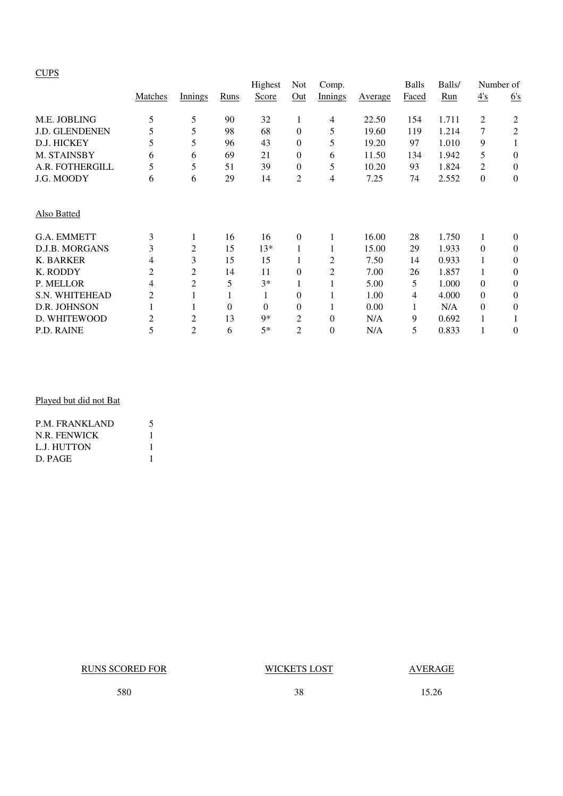# **CUPS**

|                       |                |                |          | Highest  | Not          | Comp.    |         | <b>Balls</b> | Balls/ |                | Number of    |
|-----------------------|----------------|----------------|----------|----------|--------------|----------|---------|--------------|--------|----------------|--------------|
|                       | Matches        | Innings        | Runs     | Score    | Out          | Innings  | Average | Faced        | Run    | 4s             | 6's          |
| M.E. JOBLING          | 5              | 5              | 90       | 32       | 1            | 4        | 22.50   | 154          | 1.711  | 2              | 2            |
| <b>J.D. GLENDENEN</b> | 5              | 5              | 98       | 68       | $\mathbf{0}$ | 5        | 19.60   | 119          | 1.214  | 7              | 2            |
| D.J. HICKEY           | 5              | 5              | 96       | 43       | $\mathbf{0}$ | 5        | 19.20   | 97           | 1.010  | 9              | 1            |
| M. STAINSBY           | 6              | 6              | 69       | 21       | 0            | 6        | 11.50   | 134          | 1.942  | 5              | $\theta$     |
| A.R. FOTHERGILL       | 5              | 5              | 51       | 39       | $\mathbf{0}$ | 5        | 10.20   | 93           | 1.824  | $\overline{2}$ | $\mathbf{0}$ |
| J.G. MOODY            | 6              | 6              | 29       | 14       | 2            | 4        | 7.25    | 74           | 2.552  | $\Omega$       | $\theta$     |
| Also Batted           |                |                |          |          |              |          |         |              |        |                |              |
| <b>G.A. EMMETT</b>    | 3              | 1              | 16       | 16       | $\mathbf{0}$ |          | 16.00   | 28           | 1.750  | 1              | $\theta$     |
| D.J.B. MORGANS        | 3              | $\overline{2}$ | 15       | $13*$    | $\mathbf{1}$ |          | 15.00   | 29           | 1.933  | $\Omega$       | $\theta$     |
| K. BARKER             | 4              | 3              | 15       | 15       |              | 2        | 7.50    | 14           | 0.933  |                | $\theta$     |
| K. RODDY              | 2              | $\overline{2}$ | 14       | 11       | $\mathbf{0}$ | 2        | 7.00    | 26           | 1.857  |                | $\theta$     |
| P. MELLOR             | 4              | 2              | 5        | $3*$     | $\mathbf{1}$ |          | 5.00    | 5            | 1.000  | $\Omega$       | $\theta$     |
| S.N. WHITEHEAD        | 2              |                |          | 1        | 0            |          | 1.00    | 4            | 4.000  | $\Omega$       | $\theta$     |
| D.R. JOHNSON          |                |                | $\Omega$ | $\Omega$ | $\theta$     |          | 0.00    | 1            | N/A    | $\Omega$       | $\theta$     |
| D. WHITEWOOD          | $\overline{2}$ | 2              | 13       | 9*       | 2            | $\Omega$ | N/A     | 9            | 0.692  |                |              |
| P.D. RAINE            | 5              | $\overline{2}$ | 6        | $5*$     | 2            | $\theta$ | N/A     | 5            | 0.833  |                | $\theta$     |

# Played but did not Bat

| <b>P.M. FRANKLAND</b> |  |
|-----------------------|--|
| N.R. FENWICK          |  |
| L.J. HUTTON           |  |
| D. PAGE               |  |

RUNS SCORED FOR WICKETS LOST AVERAGE

580 38 15.26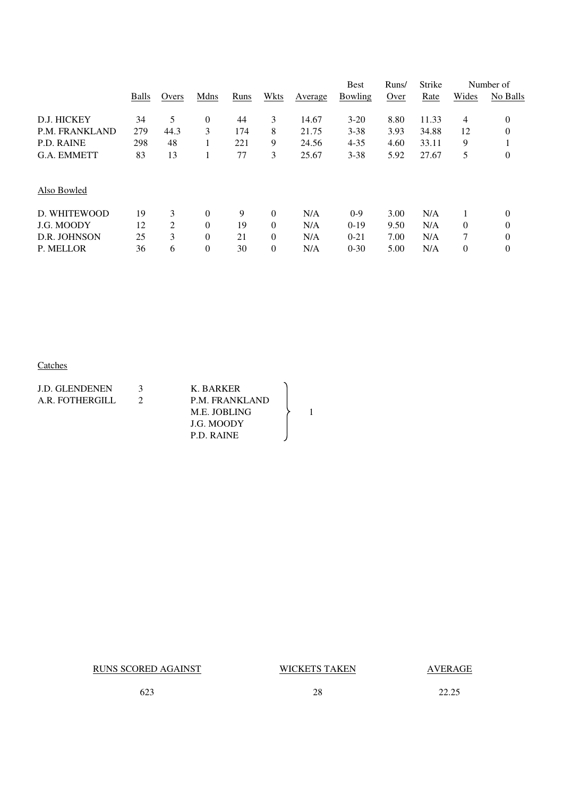|                    |       |       |          |      |          |         | <b>Best</b> | Runs/       | Strike |                | Number of        |
|--------------------|-------|-------|----------|------|----------|---------|-------------|-------------|--------|----------------|------------------|
|                    | Balls | Overs | Mdns     | Runs | Wkts     | Average | Bowling     | <b>Over</b> | Rate   | Wides          | No Balls         |
| D.J. HICKEY        | 34    | 5     | $\theta$ | 44   | 3        | 14.67   | $3 - 20$    | 8.80        | 11.33  | $\overline{4}$ | $\theta$         |
| P.M. FRANKLAND     | 279   | 44.3  | 3        | 174  | 8        | 21.75   | $3 - 38$    | 3.93        | 34.88  | 12             | $\overline{0}$   |
| <b>P.D. RAINE</b>  | 298   | 48    |          | 221  | 9        | 24.56   | $4 - 35$    | 4.60        | 33.11  | 9              |                  |
| <b>G.A. EMMETT</b> | 83    | 13    |          | 77   | 3        | 25.67   | $3 - 38$    | 5.92        | 27.67  | 5              | $\theta$         |
| Also Bowled        |       |       |          |      |          |         |             |             |        |                |                  |
| D. WHITEWOOD       | 19    | 3     | $\theta$ | 9    | $\theta$ | N/A     | $0-9$       | 3.00        | N/A    |                | $\theta$         |
| <b>J.G. MOODY</b>  | 12    | 2     | $\Omega$ | 19   | $\Omega$ | N/A     | $0-19$      | 9.50        | N/A    | $\Omega$       | $\overline{0}$   |
| D.R. JOHNSON       | 25    | 3     | $\theta$ | 21   | $\theta$ | N/A     | $0 - 21$    | 7.00        | N/A    | 7              | $\theta$         |
| P. MELLOR          | 36    | 6     | $\theta$ | 30   | $\theta$ | N/A     | $0 - 30$    | 5.00        | N/A    | $\theta$       | $\boldsymbol{0}$ |

# **Catches**

| <b>J.D. GLENDENEN</b><br>A.R. FOTHERGILL | $\mathbf{z}$ | K. BARKER<br>P.M. FRANKLAND<br>M.E. JOBLING<br>J.G. MOODY |  |
|------------------------------------------|--------------|-----------------------------------------------------------|--|
|                                          |              | P.D. RAINE                                                |  |

RUNS SCORED AGAINST WICKETS TAKEN AVERAGE

623 28 22.25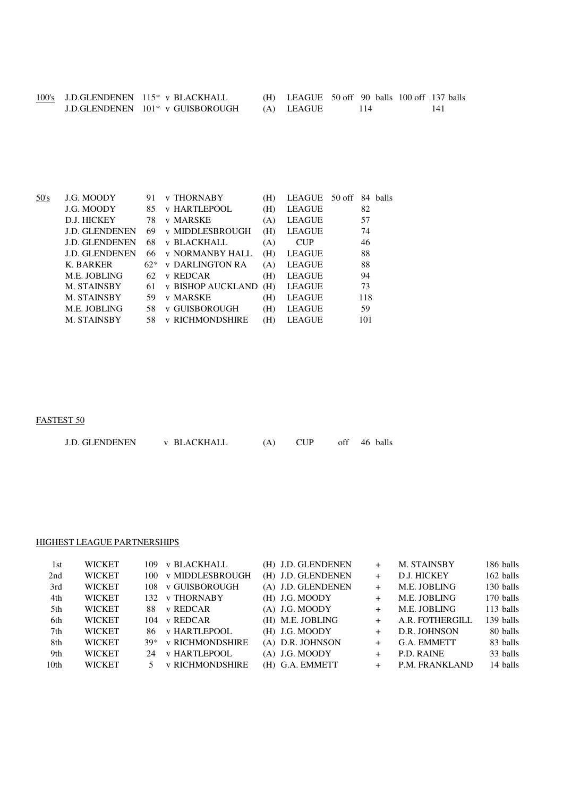|  | 100's J.D.GLENDENEN 115* v BLACKHALL | $(H)$ LEAGUE 50 off 90 balls 100 off 137 balls |  |  |
|--|--------------------------------------|------------------------------------------------|--|--|
|  | J.D.GLENDENEN 101* v GUISBOROUGH     | (A) LEAGUE                                     |  |  |

| 50's | J.G. MOODY            | 91    | <b>v THORNABY</b>        | (H) | LEAGUE 50 off |     | 84 balls |
|------|-----------------------|-------|--------------------------|-----|---------------|-----|----------|
|      | J.G. MOODY            | 85    | <b>v HARTLEPOOL</b>      | (H) | <b>LEAGUE</b> | 82  |          |
|      | D.J. HICKEY           | 78    | v MARSKE                 | (A) | <b>LEAGUE</b> | 57  |          |
|      | <b>J.D. GLENDENEN</b> | 69    | <b>v MIDDLESBROUGH</b>   | (H) | <b>LEAGUE</b> | 74  |          |
|      | <b>J.D. GLENDENEN</b> | 68    | <b>v BLACKHALL</b>       | (A) | <b>CUP</b>    | 46  |          |
|      | <b>J.D. GLENDENEN</b> | 66    | <b>v NORMANBY HALL</b>   | (H) | <b>LEAGUE</b> | 88  |          |
|      | K. BARKER             | $62*$ | <b>v DARLINGTON RA</b>   | (A) | <b>LEAGUE</b> | 88  |          |
|      | M.E. JOBLING          | 62    | v REDCAR                 | (H) | <b>LEAGUE</b> | 94  |          |
|      | M. STAINSBY           | 61    | <b>v BISHOP AUCKLAND</b> | (H) | <b>LEAGUE</b> | 73  |          |
|      | M. STAINSBY           | 59    | v MARSKE                 | (H) | <b>LEAGUE</b> | 118 |          |
|      | M.E. JOBLING          | 58    | v GUISBOROUGH            | (H) | <b>LEAGUE</b> | 59  |          |
|      | M. STAINSBY           | 58    | <b>v RICHMONDSHIRE</b>   | (H) | <b>LEAGUE</b> | 101 |          |
|      |                       |       |                          |     |               |     |          |

# FASTEST 50

| <b>J.D. GLENDENEN</b><br>v BLACKHALL |  |  | off 46 balls |
|--------------------------------------|--|--|--------------|
|--------------------------------------|--|--|--------------|

### HIGHEST LEAGUE PARTNERSHIPS

| 1st              | <b>WICKET</b> | 109 | <b>v BLACKHALL</b>     | (H) J.D. GLENDENEN | $+$    | M. STAINSBY     | 186 balls |
|------------------|---------------|-----|------------------------|--------------------|--------|-----------------|-----------|
| 2nd              | <b>WICKET</b> | 100 | <b>v MIDDLESBROUGH</b> | (H) J.D. GLENDENEN | $+$    | D.J. HICKEY     | 162 balls |
| 3rd              | <b>WICKET</b> | 108 | <b>v GUISBOROUGH</b>   | (A) J.D. GLENDENEN | $+$    | M.E. JOBLING    | 130 balls |
| 4th              | <b>WICKET</b> |     | 132 v THORNABY         | (H) J.G. MOODY     | $+$    | M.E. JOBLING    | 170 balls |
| 5th              | <b>WICKET</b> | 88. | v REDCAR               | $(A)$ J.G. MOODY   | $+$    | M.E. JOBLING    | 113 balls |
| 6th              | <b>WICKET</b> | 104 | v REDCAR               | (H) M.E. JOBLING   | $^{+}$ | A.R. FOTHERGILL | 139 balls |
| 7th              | <b>WICKET</b> | 86. | v HARTLEPOOL           | (H) J.G. MOODY     | $+$    | D.R. JOHNSON    | 80 balls  |
| 8th              | <b>WICKET</b> |     | 39* v RICHMONDSHIRE    | (A) D.R. JOHNSON   | $^{+}$ | G.A. EMMETT     | 83 balls  |
| 9th              | <b>WICKET</b> |     | 24 v HARTLEPOOL        | $(A)$ J.G. MOODY   | $^{+}$ | P.D. RAINE      | 33 balls  |
| 10 <sub>th</sub> | <b>WICKET</b> |     | <b>v RICHMONDSHIRE</b> | (H) G.A. EMMETT    | $^{+}$ | P.M. FRANKLAND  | 14 balls  |
|                  |               |     |                        |                    |        |                 |           |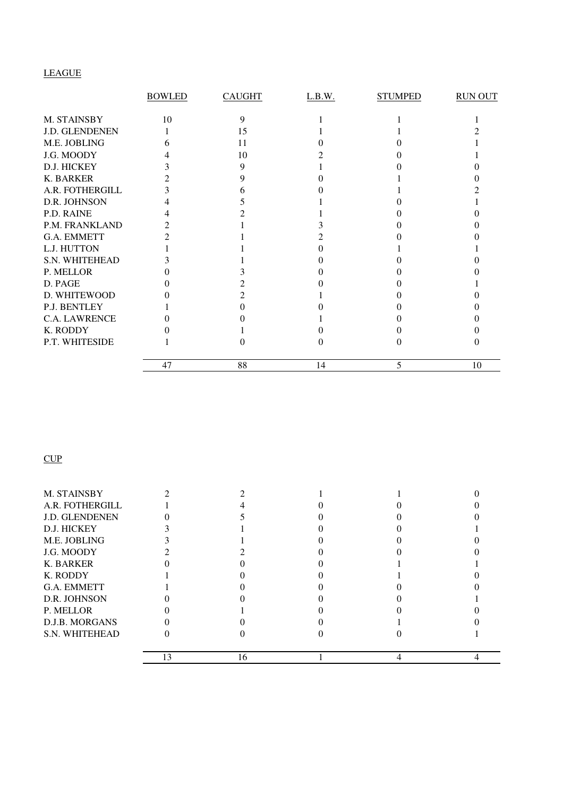# LEAGUE

|                 | <b>BOWLED</b> | <b>CAUGHT</b> | L.B.W. | <b>STUMPED</b> | <b>RUN OUT</b> |
|-----------------|---------------|---------------|--------|----------------|----------------|
| M. STAINSBY     | 10            | 9             |        |                |                |
| J.D. GLENDENEN  |               | 15            |        |                |                |
| M.E. JOBLING    |               | 11            |        |                |                |
| J.G. MOODY      |               | 10            |        |                |                |
| D.J. HICKEY     |               |               |        |                |                |
| K. BARKER       |               |               |        |                |                |
| A.R. FOTHERGILL |               |               |        |                |                |
| D.R. JOHNSON    |               |               |        |                |                |
| P.D. RAINE      |               |               |        |                |                |
| P.M. FRANKLAND  |               |               |        |                |                |
| G.A. EMMETT     |               |               |        |                |                |
| L.J. HUTTON     |               |               |        |                |                |
| S.N. WHITEHEAD  |               |               |        |                |                |
| P. MELLOR       |               |               |        |                |                |
| D. PAGE         |               |               |        |                |                |
| D. WHITEWOOD    |               |               |        |                |                |
| P.J. BENTLEY    |               |               |        |                |                |
| C.A. LAWRENCE   |               |               |        |                |                |
| K. RODDY        |               |               |        |                |                |
| P.T. WHITESIDE  |               |               |        |                |                |
|                 | 47            | 88            | 14     | 5              | 10             |

# **CUP**

| M. STAINSBY           |               |    |  |  |
|-----------------------|---------------|----|--|--|
| A.R. FOTHERGILL       |               |    |  |  |
| <b>J.D. GLENDENEN</b> |               |    |  |  |
| D.J. HICKEY           |               |    |  |  |
| M.E. JOBLING          |               |    |  |  |
| J.G. MOODY            |               |    |  |  |
| K. BARKER             |               |    |  |  |
| K. RODDY              |               |    |  |  |
| <b>G.A. EMMETT</b>    |               |    |  |  |
| D.R. JOHNSON          |               |    |  |  |
| P. MELLOR             |               |    |  |  |
| D.J.B. MORGANS        |               |    |  |  |
| <b>S.N. WHITEHEAD</b> |               |    |  |  |
|                       | $\mathcal{R}$ | 16 |  |  |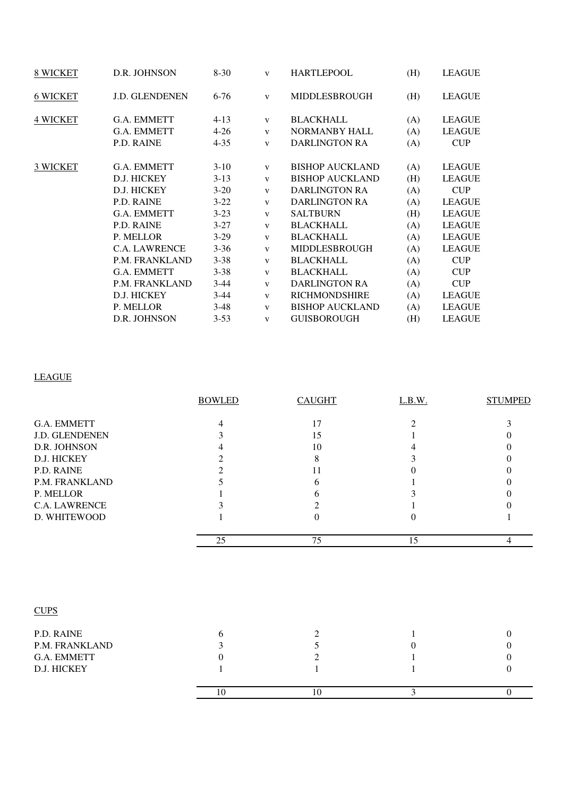| 8 WICKET        | D.R. JOHNSON          | $8 - 30$ | $\mathbf{V}$ | <b>HARTLEPOOL</b>      | (H) | <b>LEAGUE</b> |
|-----------------|-----------------------|----------|--------------|------------------------|-----|---------------|
| <b>6 WICKET</b> | <b>J.D. GLENDENEN</b> | $6 - 76$ | $\mathbf{V}$ | MIDDLESBROUGH          | (H) | <b>LEAGUE</b> |
| <b>4 WICKET</b> | G.A. EMMETT           | $4 - 13$ | V            | <b>BLACKHALL</b>       | (A) | <b>LEAGUE</b> |
|                 | G.A. EMMETT           | $4 - 26$ | $\mathbf{V}$ | <b>NORMANBY HALL</b>   | (A) | <b>LEAGUE</b> |
|                 | P.D. RAINE            | $4 - 35$ | $\mathbf{V}$ | <b>DARLINGTON RA</b>   | (A) | CUP           |
| 3 WICKET        | G.A. EMMETT           | $3-10$   | $\mathbf{V}$ | <b>BISHOP AUCKLAND</b> | (A) | <b>LEAGUE</b> |
|                 | D.J. HICKEY           | $3-13$   | $\mathbf{V}$ | <b>BISHOP AUCKLAND</b> | (H) | <b>LEAGUE</b> |
|                 | D.J. HICKEY           | $3-20$   | $\mathbf{V}$ | <b>DARLINGTON RA</b>   | (A) | <b>CUP</b>    |
|                 | P.D. RAINE            | $3 - 22$ | $\mathbf{V}$ | <b>DARLINGTON RA</b>   | (A) | <b>LEAGUE</b> |
|                 | G.A. EMMETT           | $3-23$   | $\mathbf{V}$ | <b>SALTBURN</b>        | (H) | <b>LEAGUE</b> |
|                 | P.D. RAINE            | $3 - 27$ | $\mathbf{V}$ | <b>BLACKHALL</b>       | (A) | <b>LEAGUE</b> |
|                 | P. MELLOR             | $3-29$   | $\mathbf{V}$ | <b>BLACKHALL</b>       | (A) | <b>LEAGUE</b> |
|                 | <b>C.A. LAWRENCE</b>  | $3 - 36$ | $\mathbf{V}$ | <b>MIDDLESBROUGH</b>   | (A) | <b>LEAGUE</b> |
|                 | P.M. FRANKLAND        | $3 - 38$ | $\mathbf{V}$ | <b>BLACKHALL</b>       | (A) | <b>CUP</b>    |
|                 | G.A. EMMETT           | $3 - 38$ | $\mathbf{V}$ | <b>BLACKHALL</b>       | (A) | <b>CUP</b>    |
|                 | P.M. FRANKLAND        | $3-44$   | $\mathbf{V}$ | <b>DARLINGTON RA</b>   | (A) | <b>CUP</b>    |
|                 | D.J. HICKEY           | $3-44$   | $\mathbf{V}$ | <b>RICHMONDSHIRE</b>   | (A) | <b>LEAGUE</b> |
|                 | P. MELLOR             | $3-48$   | $\mathbf{V}$ | <b>BISHOP AUCKLAND</b> | (A) | <b>LEAGUE</b> |
|                 | D.R. JOHNSON          | $3 - 53$ | $\mathbf{V}$ | <b>GUISBOROUGH</b>     | (H) | <b>LEAGUE</b> |

# LEAGUE

|                | <b>BOWLED</b>  | <b>CAUGHT</b>    | L.B.W.         | <b>STUMPED</b> |
|----------------|----------------|------------------|----------------|----------------|
| G.A. EMMETT    | 4              | 17               | $\overline{c}$ | 3              |
| J.D. GLENDENEN | 3              | 15               |                |                |
| D.R. JOHNSON   | 4              | 10               |                |                |
| D.J. HICKEY    | $\overline{2}$ | 8                | 3              |                |
| P.D. RAINE     | $\mathfrak{D}$ | 11               |                |                |
| P.M. FRANKLAND |                | 6                |                |                |
| P. MELLOR      |                | 6                |                |                |
| C.A. LAWRENCE  |                | 2                |                |                |
| D. WHITEWOOD   |                | $\boldsymbol{0}$ | 0              |                |
|                | 25             | 75               | 15             | $\overline{4}$ |
| <b>CUPS</b>    |                |                  |                |                |
| P.D. RAINE     | 6              | $\overline{c}$   |                | $\Omega$       |
| P.M. FRANKLAND | 3              | 5                |                | $\Omega$       |
| G.A. EMMETT    | $\Omega$       | 2                |                |                |
| D.J. HICKEY    |                |                  |                | 0              |

10 3 0